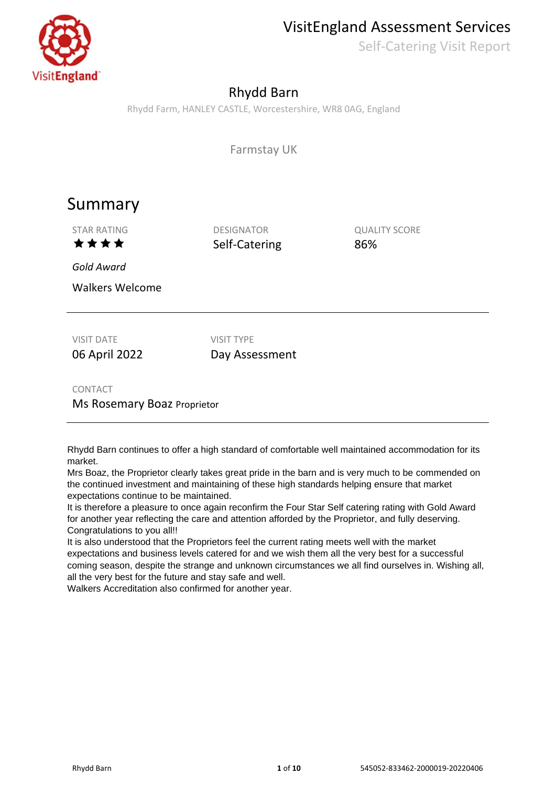VisitEngland Assessment Services

Self-Catering Visit Report



## Rhydd Barn

Rhydd Farm, HANLEY CASTLE, Worcestershire, WR8 0AG, England

Farmstay UK

## Summary

 $\star \star \star \star$  Self-Catering 86%

STAR RATING DESIGNATOR DESIGNATOR QUALITY SCORE

*Gold Award*

Walkers Welcome

VISIT DATE VISIT TYPE 06 April 2022 Day Assessment

CONTACT

Ms Rosemary Boaz Proprietor

Rhydd Barn continues to offer a high standard of comfortable well maintained accommodation for its market.

Mrs Boaz, the Proprietor clearly takes great pride in the barn and is very much to be commended on the continued investment and maintaining of these high standards helping ensure that market expectations continue to be maintained.

It is therefore a pleasure to once again reconfirm the Four Star Self catering rating with Gold Award for another year reflecting the care and attention afforded by the Proprietor, and fully deserving. Congratulations to you all!!

It is also understood that the Proprietors feel the current rating meets well with the market expectations and business levels catered for and we wish them all the very best for a successful coming season, despite the strange and unknown circumstances we all find ourselves in. Wishing all, all the very best for the future and stay safe and well.

Walkers Accreditation also confirmed for another year.